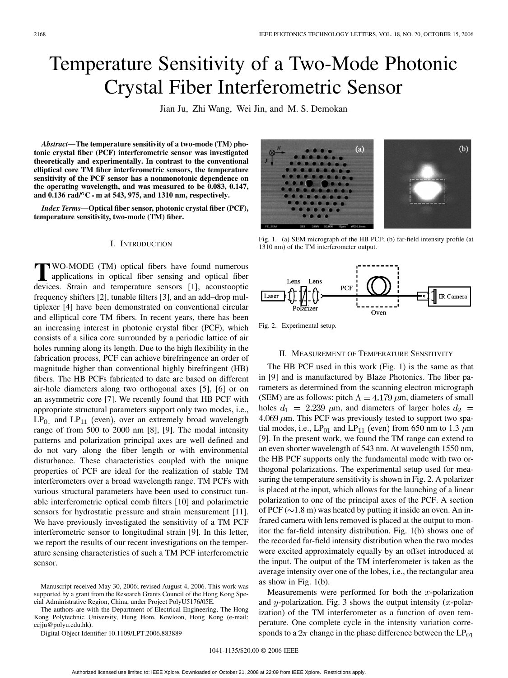# <span id="page-0-0"></span>Temperature Sensitivity of a Two-Mode Photonic Crystal Fiber Interferometric Sensor

Jian Ju, Zhi Wang, Wei Jin, and M. S. Demokan

*Abstract—***The temperature sensitivity of a two-mode (TM) photonic crystal fiber (PCF) interferometric sensor was investigated theoretically and experimentally. In contrast to the conventional elliptical core TM fiber interferometric sensors, the temperature sensitivity of the PCF sensor has a nonmonotonic dependence on the operating wavelength, and was measured to be 0.083, 0.147,** and  $0.136$  rad/ $\rm{^{\circ}C \cdot m}$  at 543, 975, and 1310 nm, respectively.

*Index Terms—***Optical fiber sensor, photonic crystal fiber (PCF), temperature sensitivity, two-mode (TM) fiber.**

#### I. INTRODUCTION

**T**WO-MODE (TM) optical fibers have found numerous applications in optical fiber sensing and optical fiber devices Strein and temperature concerne [1] acquistmention devices. Strain and temperature sensors [\[1\]](#page-2-0), acoustooptic frequency shifters [\[2\]](#page-2-0), tunable filters [\[3\]](#page-2-0), and an add–drop multiplexer [\[4\]](#page-2-0) have been demonstrated on conventional circular and elliptical core TM fibers. In recent years, there has been an increasing interest in photonic crystal fiber (PCF), which consists of a silica core surrounded by a periodic lattice of air holes running along its length. Due to the high flexibility in the fabrication process, PCF can achieve birefringence an order of magnitude higher than conventional highly birefringent (HB) fibers. The HB PCFs fabricated to date are based on different air-hole diameters along two orthogonal axes [\[5\]](#page-2-0), [\[6\]](#page-2-0) or on an asymmetric core [\[7\].](#page-2-0) We recently found that HB PCF with appropriate structural parameters support only two modes, i.e.,  $LP_{01}$  and  $LP_{11}$  (even), over an extremely broad wavelength range of from 500 to 2000 nm [\[8\], \[9\].](#page-2-0) The modal intensity patterns and polarization principal axes are well defined and do not vary along the fiber length or with environmental disturbance. These characteristics coupled with the unique properties of PCF are ideal for the realization of stable TM interferometers over a broad wavelength range. TM PCFs with various structural parameters have been used to construct tunable interferometric optical comb filters [\[10\]](#page-2-0) and polarimetric sensors for hydrostatic pressure and strain measurement [\[11\]](#page-2-0). We have previously investigated the sensitivity of a TM PCF interferometric sensor to longitudinal strain [\[9\]](#page-2-0). In this letter, we report the results of our recent investigations on the temperature sensing characteristics of such a TM PCF interferometric sensor.

Manuscript received May 30, 2006; revised August 4, 2006. This work was supported by a grant from the Research Grants Council of the Hong Kong Special Administrative Region, China, under Project PolyU5176/05E.

The authors are with the Department of Electrical Engineering, The Hong Kong Polytechnic University, Hung Hom, Kowloon, Hong Kong (e-mail: eejju@polyu.edu.hk).

Digital Object Identifier 10.1109/LPT.2006.883889

 $(a)$  $(b)$ 

Fig. 1. (a) SEM micrograph of the HB PCF; (b) far-field intensity profile (at 1310 nm) of the TM interferometer output.



Fig. 2. Experimental setup.

## II. MEASUREMENT OF TEMPERATURE SENSITIVITY

The HB PCF used in this work (Fig. 1) is the same as that in [\[9\]](#page-2-0) and is manufactured by Blaze Photonics. The fiber parameters as determined from the scanning electron micrograph (SEM) are as follows: pitch  $\Lambda = 4.179 \,\mu \text{m}$ , diameters of small holes  $d_1 = 2.239 \mu m$ , and diameters of larger holes  $d_2 =$  $4.069 \ \mu m$ . This PCF was previously tested to support two spatial modes, i.e.,  $LP_{01}$  and  $LP_{11}$  (even) from 650 nm to 1.3  $\mu$ m [\[9\]](#page-2-0). In the present work, we found the TM range can extend to an even shorter wavelength of 543 nm. At wavelength 1550 nm, the HB PCF supports only the fundamental mode with two orthogonal polarizations. The experimental setup used for measuring the temperature sensitivity is shown in Fig. 2. A polarizer is placed at the input, which allows for the launching of a linear polarization to one of the principal axes of the PCF. A section of PCF ( $\sim$ 1.8 m) was heated by putting it inside an oven. An infrared camera with lens removed is placed at the output to monitor the far-field intensity distribution. Fig. 1(b) shows one of the recorded far-field intensity distribution when the two modes were excited approximately equally by an offset introduced at the input. The output of the TM interferometer is taken as the average intensity over one of the lobes, i.e., the rectangular area as show in Fig. 1(b).

Measurements were performed for both the  $x$ -polarization and y-polarization. [Fig. 3](#page-1-0) shows the output intensity  $(x$ -polarization) of the TM interferometer as a function of oven temperature. One complete cycle in the intensity variation corresponds to a  $2\pi$  change in the phase difference between the  $LP_{01}$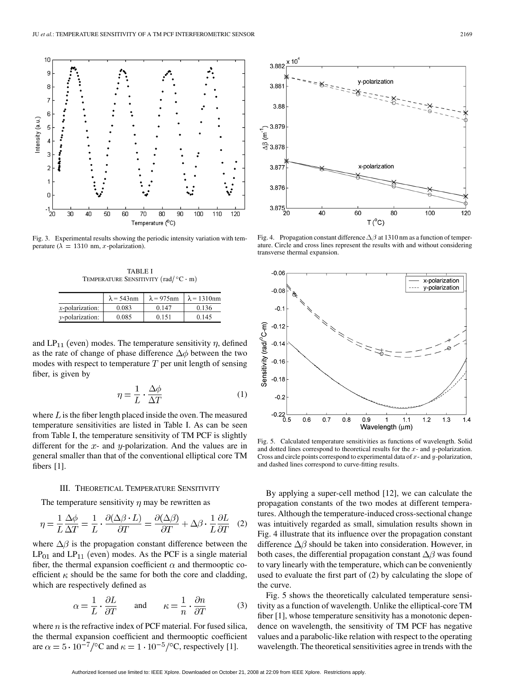<span id="page-1-0"></span>

Fig. 3. Experimental results showing the periodic intensity variation with temperature ( $\lambda = 1310$  nm, x-polarization).

TABLE I TEMPERATURE SENSITIVITY  $(\text{rad}/^{\circ}\text{C} \cdot \text{m})$ 

|                         | $\lambda$ = 543nm | $\lambda$ = 975nm | $\lambda$ = 1310nm |
|-------------------------|-------------------|-------------------|--------------------|
| <i>x</i> -polarization: | 0.083             | 0.147             | 0.136              |
| <i>v</i> -polarization: | 0.085             | 0.151             | 0.145              |

and  $LP_{11}$  (even) modes. The temperature sensitivity  $\eta$ , defined as the rate of change of phase difference  $\Delta \phi$  between the two modes with respect to temperature  $T$  per unit length of sensing fiber, is given by

$$
\eta = \frac{1}{L} \cdot \frac{\Delta \phi}{\Delta T} \tag{1}
$$

where  $L$  is the fiber length placed inside the oven. The measured temperature sensitivities are listed in Table I. As can be seen from Table I, the temperature sensitivity of TM PCF is slightly different for the  $x$ - and  $y$ -polarization. And the values are in general smaller than that of the conventional elliptical core TM fibers [\[1\].](#page-2-0)

### III. THEORETICAL TEMPERATURE SENSITIVITY

The temperature sensitivity  $\eta$  may be rewritten as

$$
\eta = \frac{1}{L} \frac{\Delta \phi}{\Delta T} = \frac{1}{L} \cdot \frac{\partial (\Delta \beta \cdot L)}{\partial T} = \frac{\partial (\Delta \beta)}{\partial T} + \Delta \beta \cdot \frac{1}{L} \frac{\partial L}{\partial T} \quad (2)
$$

where  $\Delta\beta$  is the propagation constant difference between the  $LP_{01}$  and  $LP_{11}$  (even) modes. As the PCF is a single material fiber, the thermal expansion coefficient  $\alpha$  and thermooptic coefficient  $\kappa$  should be the same for both the core and cladding, which are respectively defined as

$$
\alpha = \frac{1}{L} \cdot \frac{\partial L}{\partial T} \quad \text{and} \quad \kappa = \frac{1}{n} \cdot \frac{\partial n}{\partial T} \tag{3}
$$

where  $n$  is the refractive index of PCF material. For fused silica, the thermal expansion coefficient and thermooptic coefficient are  $\alpha = 5 \cdot 10^{-7}$ /°C and  $\kappa = 1 \cdot 10^{-5}$ /°C, respectively [\[1\]](#page-2-0).



Fig. 4. Propagation constant difference  $\Delta \beta$  at 1310 nm as a function of temperature. Circle and cross lines represent the results with and without considering transverse thermal expansion.



Fig. 5. Calculated temperature sensitivities as functions of wavelength. Solid and dotted lines correspond to theoretical results for the  $x$ - and  $y$ -polarization. Cross and circle points correspond to experimental data of  $x$ - and  $y$ -polarization, and dashed lines correspond to curve-fitting results.

By applying a super-cell method [\[12\],](#page-2-0) we can calculate the propagation constants of the two modes at different temperatures. Although the temperature-induced cross-sectional change was intuitively regarded as small, simulation results shown in Fig. 4 illustrate that its influence over the propagation constant difference  $\Delta\beta$  should be taken into consideration. However, in both cases, the differential propagation constant  $\Delta\beta$  was found to vary linearly with the temperature, which can be conveniently used to evaluate the first part of (2) by calculating the slope of the curve.

Fig. 5 shows the theoretically calculated temperature sensitivity as a function of wavelength. Unlike the elliptical-core TM fiber [\[1\]](#page-2-0), whose temperature sensitivity has a monotonic dependence on wavelength, the sensitivity of TM PCF has negative values and a parabolic-like relation with respect to the operating wavelength. The theoretical sensitivities agree in trends with the